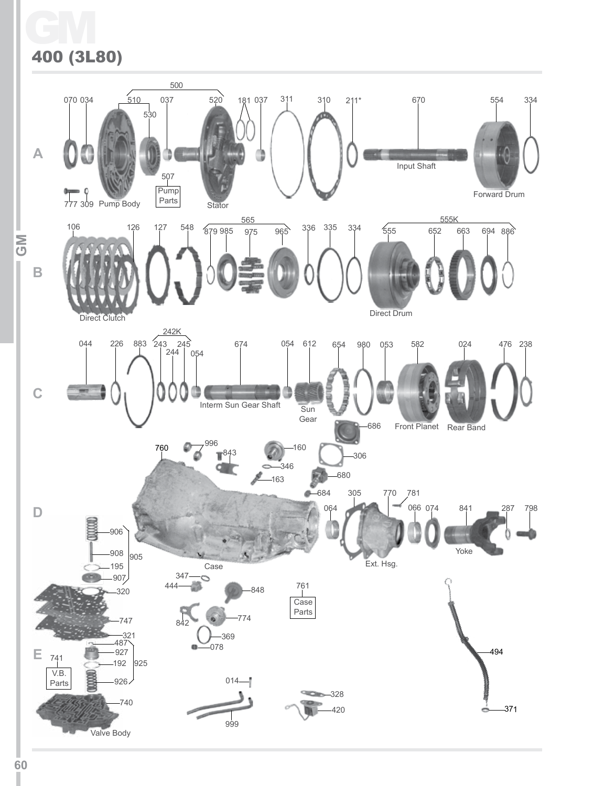